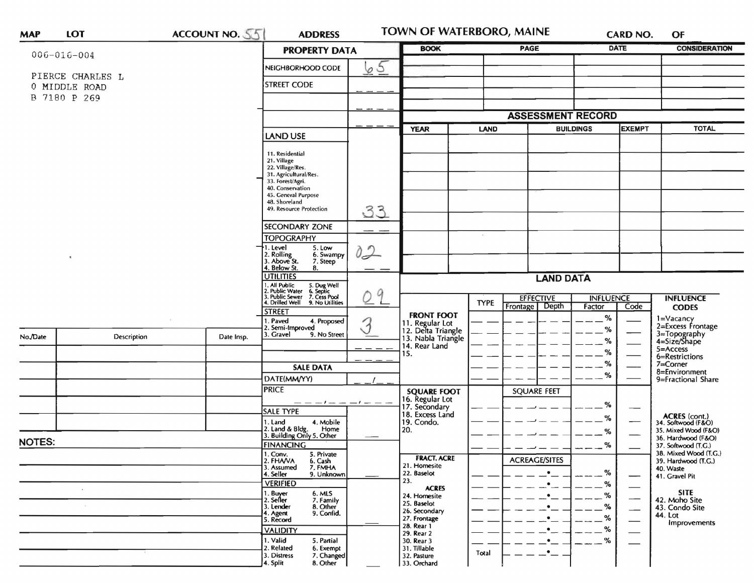| <b>MAP</b>                                        | <b>LOT</b>  | ACCOUNT NO. 55 | <b>ADDRESS</b>                                                                                                                                                                         |               | TOWN OF WATERBORO, MAINE                                                            |             |                                                                | <b>CARD NO.</b>  |                     | OF                                                                          |
|---------------------------------------------------|-------------|----------------|----------------------------------------------------------------------------------------------------------------------------------------------------------------------------------------|---------------|-------------------------------------------------------------------------------------|-------------|----------------------------------------------------------------|------------------|---------------------|-----------------------------------------------------------------------------|
| $006 - 016 - 004$                                 |             |                | <b>PROPERTY DATA</b>                                                                                                                                                                   |               | <b>BOOK</b>                                                                         |             | PAGE                                                           | <b>DATE</b>      |                     | <b>CONSIDERATION</b>                                                        |
| PIERCE CHARLES L<br>0 MIDDLE ROAD<br>B 7180 P 269 |             |                | NEIGHBORHOOD CODE<br><b>STREET CODE</b>                                                                                                                                                | 65            |                                                                                     |             |                                                                |                  |                     |                                                                             |
|                                                   |             |                |                                                                                                                                                                                        |               |                                                                                     |             |                                                                |                  |                     |                                                                             |
|                                                   |             |                |                                                                                                                                                                                        |               |                                                                                     |             |                                                                |                  |                     |                                                                             |
|                                                   |             |                |                                                                                                                                                                                        |               | <b>YEAR</b><br>LAND                                                                 |             | <b>ASSESSMENT RECORD</b><br><b>BUILDINGS</b>                   |                  | <b>EXEMPT</b>       | <b>TOTAL</b>                                                                |
|                                                   |             |                | <b>LAND USE</b>                                                                                                                                                                        |               |                                                                                     |             |                                                                |                  |                     |                                                                             |
|                                                   |             |                | 11. Residential<br>21. Village<br>22. Village/Res.<br>31. Agricultural/Res.<br>33. Forest/Agri.<br>40. Conservation<br>45. General Purpose<br>48. Shoreland<br>49. Resource Protection |               |                                                                                     |             |                                                                |                  |                     |                                                                             |
| $\pmb{\tau}_i$                                    |             |                |                                                                                                                                                                                        | 33            |                                                                                     |             |                                                                |                  |                     |                                                                             |
|                                                   |             |                | <b>SECONDARY ZONE</b><br><b>TOPOGRAPHY</b><br>1. Level<br>5. Low                                                                                                                       | $0 - 2$       |                                                                                     |             |                                                                |                  |                     |                                                                             |
|                                                   |             |                |                                                                                                                                                                                        |               |                                                                                     |             |                                                                |                  |                     |                                                                             |
|                                                   |             |                | 2. Rolling<br>3. Above St.<br>6. Swampy<br>7. Steep<br>4. Below St.<br>8.                                                                                                              |               |                                                                                     |             |                                                                |                  |                     |                                                                             |
|                                                   |             |                | <b>UTILITIES</b>                                                                                                                                                                       |               | <b>LAND DATA</b>                                                                    |             |                                                                |                  |                     |                                                                             |
|                                                   |             |                | 1. All Public<br>2. Public Water<br>5. Dug Well<br>6. Septic<br>7. Cess Pool<br>3. Public Sewer                                                                                        | $\mathcal{Q}$ |                                                                                     | <b>TYPE</b> | <b>EFFECTIVE</b>                                               | <b>INFLUENCE</b> |                     | <b>INFLUENCE</b>                                                            |
|                                                   |             |                | 4. Drilled Well<br>9. No Utilities<br><b>STREET</b>                                                                                                                                    |               | <b>FRONT FOOT</b>                                                                   | Frontage    | Depth                                                          | Factor           | Code                | <b>CODES</b>                                                                |
| No./Date                                          | Description | Date Insp.     | . Paved<br>4. Proposed<br>2. Semi-Improved<br>3. Gravel<br>9. No Street                                                                                                                | 3             | 11. Regular Lot<br>12. Delta Triangle<br>13. Nabla Triangle<br>14. Rear Land<br>15. |             |                                                                | $\%$<br>%        | %                   | 1=Vacancy<br>2=Excess Frontage<br>3=Topography<br>4=Size/Shape              |
|                                                   |             |                |                                                                                                                                                                                        |               |                                                                                     |             |                                                                | $\%$             |                     | 5=Access<br>6=Restrictions                                                  |
|                                                   |             |                | <b>SALE DATA</b>                                                                                                                                                                       |               |                                                                                     |             |                                                                | $\%$             |                     | 7=Corner                                                                    |
|                                                   |             |                | DATE(MM/YY)                                                                                                                                                                            |               |                                                                                     |             |                                                                | %<br>%<br>%      |                     | 8=Environment<br>9=Fractional Share                                         |
|                                                   |             |                | <b>PRICE</b>                                                                                                                                                                           |               | <b>SQUARE FOOT</b>                                                                  |             | <b>SQUARE FEET</b>                                             |                  |                     |                                                                             |
|                                                   |             |                | — — — ! — — — ! — —<br><b>SALE TYPE</b>                                                                                                                                                |               | 16. Regular Lot<br>17. Secondary<br>18. Excess Land                                 |             |                                                                |                  |                     |                                                                             |
|                                                   |             |                | 1. Land<br>4. Mobile                                                                                                                                                                   |               | 19. Condo.<br>20.                                                                   |             |                                                                |                  | –                   | <b>ACRES</b> (cont.)<br>34. Softwood (F&O)                                  |
|                                                   |             |                | 2. Land & Bldg. Home<br>3. Building Only 5. Other<br>Home                                                                                                                              |               |                                                                                     |             |                                                                | %                |                     | 35. Mixed Wood (F&O)<br>36. Hardwood (F&O)                                  |
| <b>NOTES:</b>                                     |             |                | <b>FINANCING</b>                                                                                                                                                                       |               |                                                                                     |             |                                                                | %                | 37. Softwood (T.G.) |                                                                             |
|                                                   |             |                | 1. Conv.<br>2. FHAVA<br>5. Private<br>6. Cash<br>3. Assumed<br>7. FMHA<br>4. Seller<br>9. Unknown                                                                                      |               | <b>FRACT. ACRE</b><br>21. Homesite<br>22. Baselot                                   |             | <b>ACREAGE/SITES</b><br>$\%$<br>$\bullet$                      |                  |                     | 38. Mixed Wood (T.G.)<br>39. Hardwood (T.G.)<br>40. Waste<br>41. Gravel Pit |
|                                                   |             |                | <b>VERIFIED</b><br>1. Buyer<br>6. MLS<br>2. Seller<br>7. Family<br>8. Other<br>3. Lender                                                                                               |               | 23.<br><b>ACRES</b><br>24. Homesite<br>25. Baselot<br>26. Secondary                 |             | %<br>$\cdot$ $-$<br>%<br>$\bullet$<br>$- -$ %<br>$\mathcal{L}$ |                  |                     | <b>SITE</b><br>42. Moho Site<br>43. Condo Site                              |
|                                                   |             |                | 9. Confid.<br>4. Agent<br>5. Record<br><b>VALIDITY</b>                                                                                                                                 |               | 27. Frontage<br>28. Rear 1<br>29. Rear 2                                            |             | $\bullet$<br>$\cdot$ $\cdot$ $\cdot$                           | $--$ %<br>%      |                     | 44. Lot<br>Improvements                                                     |
|                                                   |             |                | 1. Valid<br>5. Partial<br>2. Related<br>6. Exempt<br>3. Distress<br>7. Changed<br>8. Other<br>4. Split                                                                                 |               | 30. Rear 3<br>31. Tillable<br>32. Pasture<br>33. Orchard                            | Total       | $\bullet$<br>$\cdot$ $\cdot$                                   | $-\frac{9}{6}$   |                     |                                                                             |